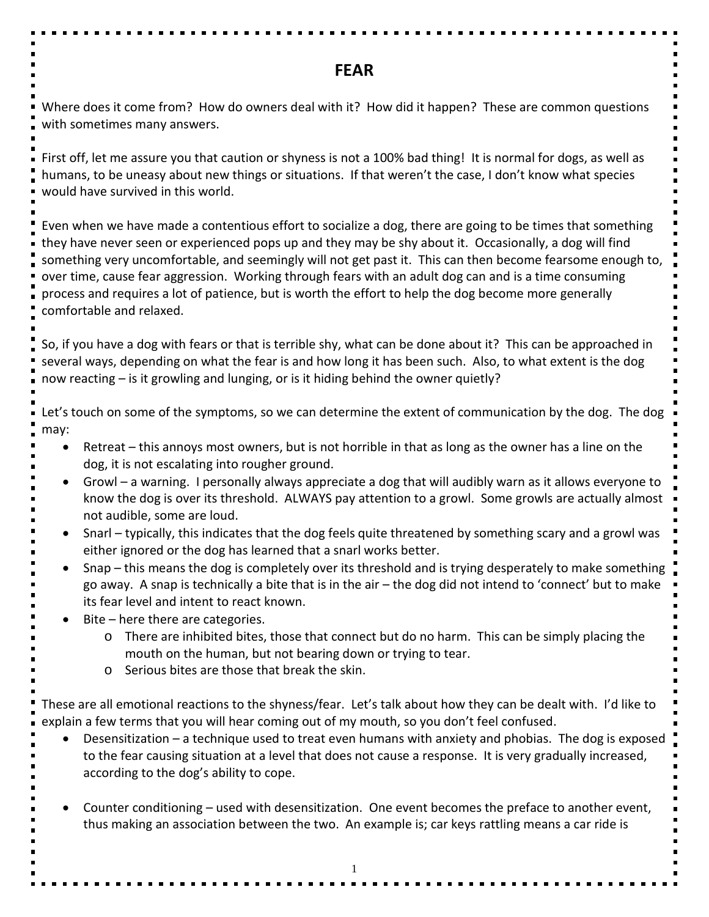## **FEAR**

Where does it come from? How do owners deal with it? How did it happen? These are common questions with sometimes many answers.

First off, let me assure you that caution or shyness is not a 100% bad thing! It is normal for dogs, as well as humans, to be uneasy about new things or situations. If that weren't the case, I don't know what species would have survived in this world.

Even when we have made a contentious effort to socialize a dog, there are going to be times that something they have never seen or experienced pops up and they may be shy about it. Occasionally, a dog will find something very uncomfortable, and seemingly will not get past it. This can then become fearsome enough to, over time, cause fear aggression. Working through fears with an adult dog can and is a time consuming process and requires a lot of patience, but is worth the effort to help the dog become more generally comfortable and relaxed.

So, if you have a dog with fears or that is terrible shy, what can be done about it? This can be approached in several ways, depending on what the fear is and how long it has been such. Also, to what extent is the dog now reacting – is it growling and lunging, or is it hiding behind the owner quietly?

Let's touch on some of the symptoms, so we can determine the extent of communication by the dog. The dog may:

- Retreat this annoys most owners, but is not horrible in that as long as the owner has a line on the dog, it is not escalating into rougher ground.
- Growl a warning. I personally always appreciate a dog that will audibly warn as it allows everyone to know the dog is over its threshold. ALWAYS pay attention to a growl. Some growls are actually almost not audible, some are loud.
- Snarl typically, this indicates that the dog feels quite threatened by something scary and a growl was either ignored or the dog has learned that a snarl works better.
- Snap this means the dog is completely over its threshold and is trying desperately to make something go away. A snap is technically a bite that is in the air – the dog did not intend to 'connect' but to make its fear level and intent to react known.
- Bite here there are categories.
	- o There are inhibited bites, those that connect but do no harm. This can be simply placing the mouth on the human, but not bearing down or trying to tear.
	- o Serious bites are those that break the skin.

These are all emotional reactions to the shyness/fear. Let's talk about how they can be dealt with. I'd like to explain a few terms that you will hear coming out of my mouth, so you don't feel confused.

- Desensitization a technique used to treat even humans with anxiety and phobias. The dog is exposed to the fear causing situation at a level that does not cause a response. It is very gradually increased, according to the dog's ability to cope.
- Counter conditioning used with desensitization. One event becomes the preface to another event, thus making an association between the two. An example is; car keys rattling means a car ride is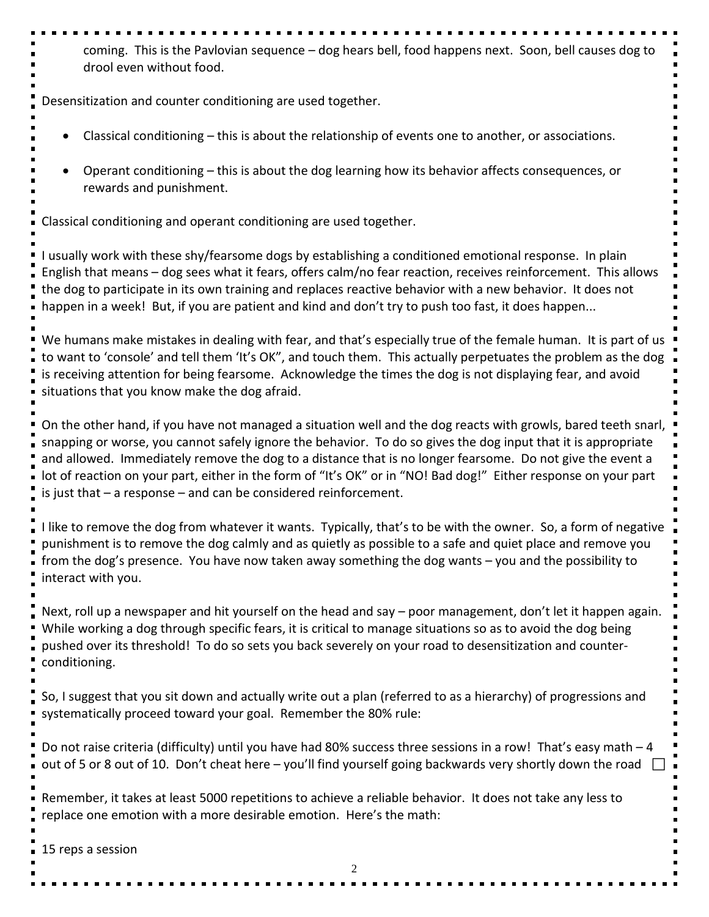coming. This is the Pavlovian sequence – dog hears bell, food happens next. Soon, bell causes dog to drool even without food.

Desensitization and counter conditioning are used together.

- Classical conditioning this is about the relationship of events one to another, or associations.
- Operant conditioning this is about the dog learning how its behavior affects consequences, or rewards and punishment.

Classical conditioning and operant conditioning are used together.

I usually work with these shy/fearsome dogs by establishing a conditioned emotional response. In plain English that means – dog sees what it fears, offers calm/no fear reaction, receives reinforcement. This allows the dog to participate in its own training and replaces reactive behavior with a new behavior. It does not happen in a week! But, if you are patient and kind and don't try to push too fast, it does happen...

We humans make mistakes in dealing with fear, and that's especially true of the female human. It is part of us to want to 'console' and tell them 'It's OK", and touch them. This actually perpetuates the problem as the dog is receiving attention for being fearsome. Acknowledge the times the dog is not displaying fear, and avoid situations that you know make the dog afraid.

On the other hand, if you have not managed a situation well and the dog reacts with growls, bared teeth snarl, snapping or worse, you cannot safely ignore the behavior. To do so gives the dog input that it is appropriate and allowed. Immediately remove the dog to a distance that is no longer fearsome. Do not give the event a lot of reaction on your part, either in the form of "It's OK" or in "NO! Bad dog!" Either response on your part is just that – a response – and can be considered reinforcement.

I like to remove the dog from whatever it wants. Typically, that's to be with the owner. So, a form of negative punishment is to remove the dog calmly and as quietly as possible to a safe and quiet place and remove you from the dog's presence. You have now taken away something the dog wants – you and the possibility to interact with you.

Next, roll up a newspaper and hit yourself on the head and say – poor management, don't let it happen again. While working a dog through specific fears, it is critical to manage situations so as to avoid the dog being pushed over its threshold! To do so sets you back severely on your road to desensitization and counterconditioning.

So, I suggest that you sit down and actually write out a plan (referred to as a hierarchy) of progressions and systematically proceed toward your goal. Remember the 80% rule:

Do not raise criteria (difficulty) until you have had 80% success three sessions in a row! That's easy math – 4 out of 5 or 8 out of 10. Don't cheat here – you'll find yourself going backwards very shortly down the road  $\Box$ 

Remember, it takes at least 5000 repetitions to achieve a reliable behavior. It does not take any less to replace one emotion with a more desirable emotion. Here's the math:

15 reps a session